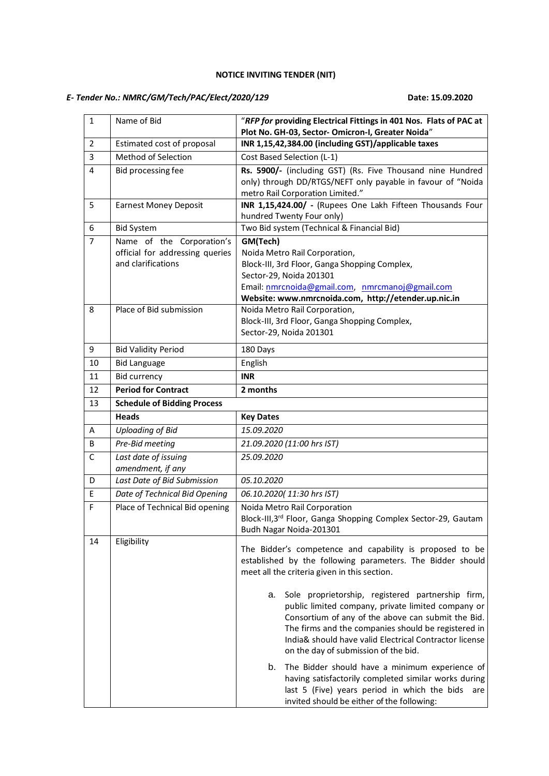#### **NOTICE INVITING TENDER (NIT)**

# *E- Tender No.: NMRC/GM/Tech/PAC/Elect/2020/129* **Date: 15.09.2020**

| 1              | Name of Bid                                           | "RFP for providing Electrical Fittings in 401 Nos. Flats of PAC at<br>Plot No. GH-03, Sector- Omicron-I, Greater Noida"                                                                                                                                                                                                      |
|----------------|-------------------------------------------------------|------------------------------------------------------------------------------------------------------------------------------------------------------------------------------------------------------------------------------------------------------------------------------------------------------------------------------|
| $\overline{2}$ | Estimated cost of proposal                            | INR 1,15,42,384.00 (including GST)/applicable taxes                                                                                                                                                                                                                                                                          |
| 3              | Method of Selection                                   | Cost Based Selection (L-1)                                                                                                                                                                                                                                                                                                   |
| 4<br>5         | Bid processing fee<br><b>Earnest Money Deposit</b>    | Rs. 5900/- (including GST) (Rs. Five Thousand nine Hundred<br>only) through DD/RTGS/NEFT only payable in favour of "Noida<br>metro Rail Corporation Limited."<br>INR 1,15,424.00/ - (Rupees One Lakh Fifteen Thousands Four                                                                                                  |
|                |                                                       | hundred Twenty Four only)                                                                                                                                                                                                                                                                                                    |
| 6<br>7         | <b>Bid System</b><br>Name of the Corporation's        | Two Bid system (Technical & Financial Bid)<br>GM(Tech)                                                                                                                                                                                                                                                                       |
|                | official for addressing queries<br>and clarifications | Noida Metro Rail Corporation,<br>Block-III, 3rd Floor, Ganga Shopping Complex,<br>Sector-29, Noida 201301<br>Email: nmrcnoida@gmail.com, nmrcmanoj@gmail.com<br>Website: www.nmrcnoida.com, http://etender.up.nic.in                                                                                                         |
| 8              | Place of Bid submission                               | Noida Metro Rail Corporation,<br>Block-III, 3rd Floor, Ganga Shopping Complex,<br>Sector-29, Noida 201301                                                                                                                                                                                                                    |
| 9              | <b>Bid Validity Period</b>                            | 180 Days                                                                                                                                                                                                                                                                                                                     |
| 10             | <b>Bid Language</b>                                   | English                                                                                                                                                                                                                                                                                                                      |
| 11             | <b>Bid currency</b>                                   | <b>INR</b>                                                                                                                                                                                                                                                                                                                   |
| 12             | <b>Period for Contract</b>                            | 2 months                                                                                                                                                                                                                                                                                                                     |
| 13             | <b>Schedule of Bidding Process</b>                    |                                                                                                                                                                                                                                                                                                                              |
|                | <b>Heads</b>                                          | <b>Key Dates</b>                                                                                                                                                                                                                                                                                                             |
| A              | <b>Uploading of Bid</b>                               | 15.09.2020                                                                                                                                                                                                                                                                                                                   |
| B              | Pre-Bid meeting                                       | 21.09.2020 (11:00 hrs IST)                                                                                                                                                                                                                                                                                                   |
| C              | Last date of issuing<br>amendment, if any             | 25.09.2020                                                                                                                                                                                                                                                                                                                   |
| D              | Last Date of Bid Submission                           | 05.10.2020                                                                                                                                                                                                                                                                                                                   |
| E              | Date of Technical Bid Opening                         | 06.10.2020(11:30 hrs IST)                                                                                                                                                                                                                                                                                                    |
| F              | Place of Technical Bid opening                        | Noida Metro Rail Corporation<br>Block-III,3rd Floor, Ganga Shopping Complex Sector-29, Gautam<br>Budh Nagar Noida-201301                                                                                                                                                                                                     |
| 14             | Eligibility                                           | The Bidder's competence and capability is proposed to be<br>established by the following parameters. The Bidder should<br>meet all the criteria given in this section.                                                                                                                                                       |
|                |                                                       | Sole proprietorship, registered partnership firm,<br>а.<br>public limited company, private limited company or<br>Consortium of any of the above can submit the Bid.<br>The firms and the companies should be registered in<br>India& should have valid Electrical Contractor license<br>on the day of submission of the bid. |
|                |                                                       | The Bidder should have a minimum experience of<br>b.<br>having satisfactorily completed similar works during<br>last 5 (Five) years period in which the bids<br>are<br>invited should be either of the following:                                                                                                            |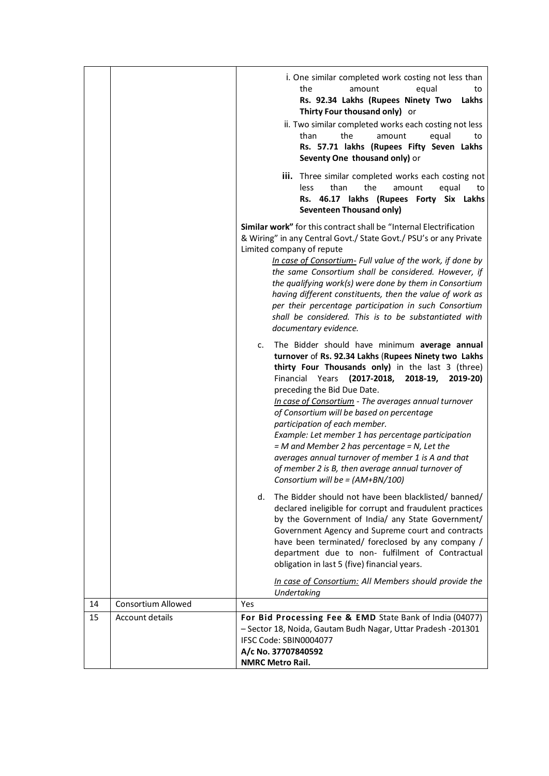|    |                    | i. One similar completed work costing not less than<br>the<br>equal<br>amount<br>to<br>Rs. 92.34 Lakhs (Rupees Ninety Two<br>Lakhs<br>Thirty Four thousand only) or<br>ii. Two similar completed works each costing not less<br>than<br>the<br>amount<br>equal<br>to<br>Rs. 57.71 lakhs (Rupees Fifty Seven Lakhs<br>Seventy One thousand only) or<br>iii. Three similar completed works each costing not<br>than<br>the<br>less<br>amount<br>equal<br>to<br>Rs. 46.17 lakhs (Rupees Forty Six Lakhs                                                                                                                                                            |
|----|--------------------|-----------------------------------------------------------------------------------------------------------------------------------------------------------------------------------------------------------------------------------------------------------------------------------------------------------------------------------------------------------------------------------------------------------------------------------------------------------------------------------------------------------------------------------------------------------------------------------------------------------------------------------------------------------------|
|    |                    | <b>Seventeen Thousand only)</b><br>Similar work" for this contract shall be "Internal Electrification<br>& Wiring" in any Central Govt./ State Govt./ PSU's or any Private<br>Limited company of repute<br>In case of Consortium- Full value of the work, if done by<br>the same Consortium shall be considered. However, if<br>the qualifying work(s) were done by them in Consortium<br>having different constituents, then the value of work as<br>per their percentage participation in such Consortium<br>shall be considered. This is to be substantiated with<br>documentary evidence.                                                                   |
|    |                    | The Bidder should have minimum average annual<br>c.<br>turnover of Rs. 92.34 Lakhs (Rupees Ninety two Lakhs<br>thirty Four Thousands only) in the last 3 (three)<br>Financial<br>$(2017 - 2018,$<br>Years<br>2018-19,<br>2019-20)<br>preceding the Bid Due Date.<br>In case of Consortium - The averages annual turnover<br>of Consortium will be based on percentage<br>participation of each member.<br>Example: Let member 1 has percentage participation<br>$=$ M and Member 2 has percentage $=$ N, Let the<br>averages annual turnover of member 1 is A and that<br>of member 2 is B, then average annual turnover of<br>Consortium will be = (AM+BN/100) |
|    |                    | The Bidder should not have been blacklisted/ banned/<br>d.<br>declared ineligible for corrupt and fraudulent practices<br>by the Government of India/ any State Government/<br>Government Agency and Supreme court and contracts<br>have been terminated/ foreclosed by any company /<br>department due to non- fulfilment of Contractual<br>obligation in last 5 (five) financial years.                                                                                                                                                                                                                                                                       |
| 14 | Consortium Allowed | In case of Consortium: All Members should provide the<br>Undertaking<br><b>Yes</b>                                                                                                                                                                                                                                                                                                                                                                                                                                                                                                                                                                              |
| 15 | Account details    | For Bid Processing Fee & EMD State Bank of India (04077)<br>- Sector 18, Noida, Gautam Budh Nagar, Uttar Pradesh -201301<br>IFSC Code: SBIN0004077<br>A/c No. 37707840592<br><b>NMRC Metro Rail.</b>                                                                                                                                                                                                                                                                                                                                                                                                                                                            |